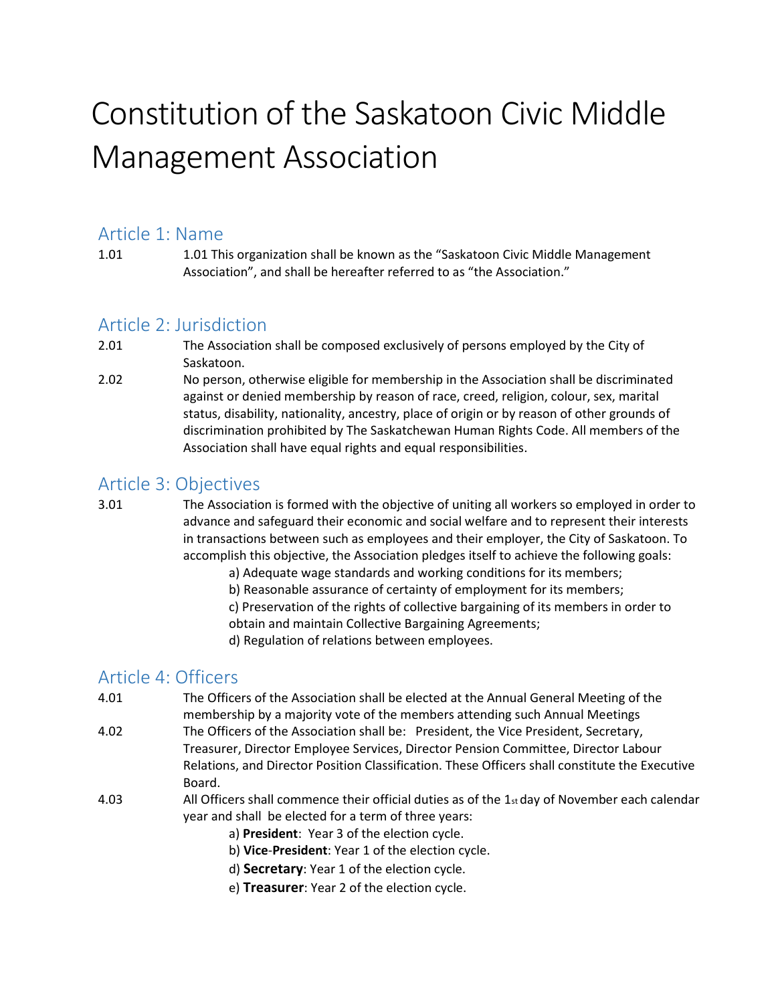# Constitution of the Saskatoon Civic Middle Management Association

### Article 1: Name

1.01 1.01 This organization shall be known as the "Saskatoon Civic Middle Management Association", and shall be hereafter referred to as "the Association."

# Article 2: Jurisdiction

- 2.01 The Association shall be composed exclusively of persons employed by the City of Saskatoon.
- 2.02 No person, otherwise eligible for membership in the Association shall be discriminated against or denied membership by reason of race, creed, religion, colour, sex, marital status, disability, nationality, ancestry, place of origin or by reason of other grounds of discrimination prohibited by The Saskatchewan Human Rights Code. All members of the Association shall have equal rights and equal responsibilities.

## Article 3: Objectives

- 3.01 The Association is formed with the objective of uniting all workers so employed in order to advance and safeguard their economic and social welfare and to represent their interests in transactions between such as employees and their employer, the City of Saskatoon. To accomplish this objective, the Association pledges itself to achieve the following goals:
	- a) Adequate wage standards and working conditions for its members;
	- b) Reasonable assurance of certainty of employment for its members;
	- c) Preservation of the rights of collective bargaining of its members in order to
	- obtain and maintain Collective Bargaining Agreements;
	- d) Regulation of relations between employees.

# Article 4: Officers

- 4.01 The Officers of the Association shall be elected at the Annual General Meeting of the membership by a majority vote of the members attending such Annual Meetings
- 4.02 The Officers of the Association shall be: President, the Vice President, Secretary, Treasurer, Director Employee Services, Director Pension Committee, Director Labour Relations, and Director Position Classification. These Officers shall constitute the Executive Board.
- 4.03 All Officers shall commence their official duties as of the 1st day of November each calendar year and shall be elected for a term of three years:
	- a) President: Year 3 of the election cycle.
	- b) Vice-President: Year 1 of the election cycle.
	- d) Secretary: Year 1 of the election cycle.
	- e) Treasurer: Year 2 of the election cycle.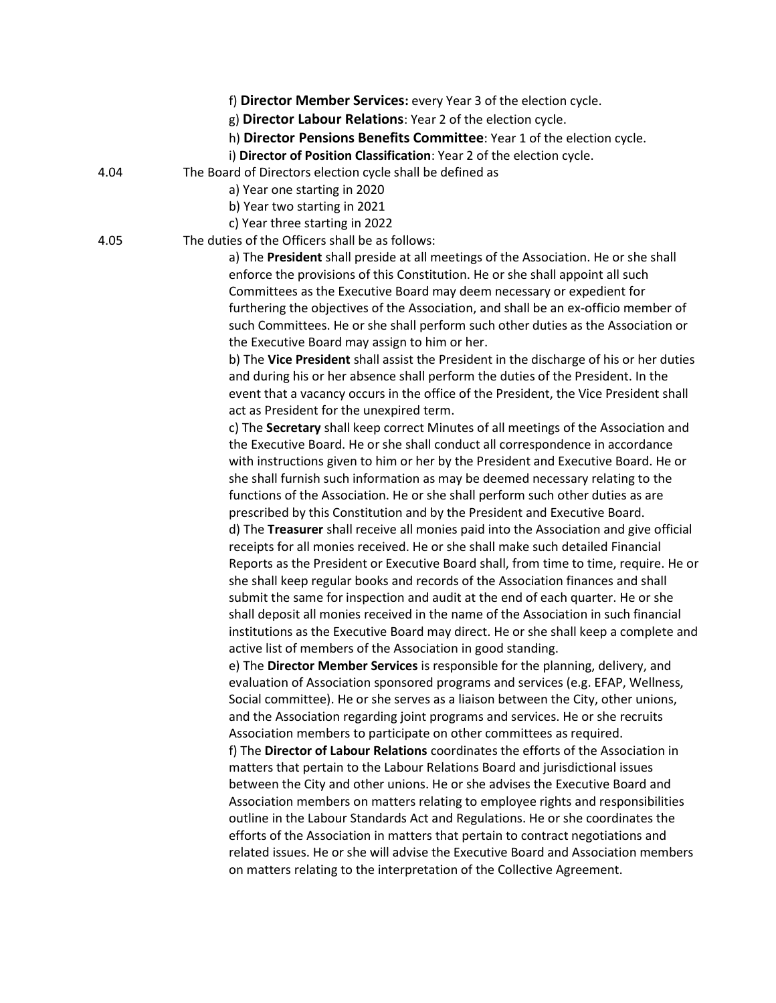|      | f) Director Member Services: every Year 3 of the election cycle.                                                                                                       |
|------|------------------------------------------------------------------------------------------------------------------------------------------------------------------------|
|      | g) Director Labour Relations: Year 2 of the election cycle.                                                                                                            |
|      | h) Director Pensions Benefits Committee: Year 1 of the election cycle.                                                                                                 |
|      | i) Director of Position Classification: Year 2 of the election cycle.                                                                                                  |
| 4.04 | The Board of Directors election cycle shall be defined as                                                                                                              |
|      | a) Year one starting in 2020                                                                                                                                           |
|      | b) Year two starting in 2021                                                                                                                                           |
|      | c) Year three starting in 2022                                                                                                                                         |
| 4.05 | The duties of the Officers shall be as follows:                                                                                                                        |
|      | a) The President shall preside at all meetings of the Association. He or she shall<br>enforce the provisions of this Constitution. He or she shall appoint all such    |
|      | Committees as the Executive Board may deem necessary or expedient for                                                                                                  |
|      | furthering the objectives of the Association, and shall be an ex-officio member of<br>such Committees. He or she shall perform such other duties as the Association or |
|      | the Executive Board may assign to him or her.                                                                                                                          |
|      | b) The Vice President shall assist the President in the discharge of his or her duties                                                                                 |
|      | and during his or her absence shall perform the duties of the President. In the                                                                                        |
|      | event that a vacancy occurs in the office of the President, the Vice President shall                                                                                   |
|      | act as President for the unexpired term.                                                                                                                               |
|      | c) The Secretary shall keep correct Minutes of all meetings of the Association and<br>the Executive Board. He or she shall conduct all correspondence in accordance    |
|      | with instructions given to him or her by the President and Executive Board. He or                                                                                      |
|      | she shall furnish such information as may be deemed necessary relating to the                                                                                          |
|      | functions of the Association. He or she shall perform such other duties as are                                                                                         |
|      | prescribed by this Constitution and by the President and Executive Board.                                                                                              |
|      | d) The Treasurer shall receive all monies paid into the Association and give official                                                                                  |
|      | receipts for all monies received. He or she shall make such detailed Financial                                                                                         |
|      | Reports as the President or Executive Board shall, from time to time, require. He or                                                                                   |
|      | she shall keep regular books and records of the Association finances and shall                                                                                         |
|      | submit the same for inspection and audit at the end of each quarter. He or she                                                                                         |
|      | shall deposit all monies received in the name of the Association in such financial                                                                                     |
|      | institutions as the Executive Board may direct. He or she shall keep a complete and                                                                                    |
|      | active list of members of the Association in good standing.                                                                                                            |
|      | e) The Director Member Services is responsible for the planning, delivery, and                                                                                         |
|      | evaluation of Association sponsored programs and services (e.g. EFAP, Wellness,                                                                                        |
|      | Social committee). He or she serves as a liaison between the City, other unions,                                                                                       |
|      | and the Association regarding joint programs and services. He or she recruits                                                                                          |
|      | Association members to participate on other committees as required.                                                                                                    |
|      | f) The Director of Labour Relations coordinates the efforts of the Association in                                                                                      |
|      | matters that pertain to the Labour Relations Board and jurisdictional issues                                                                                           |
|      | between the City and other unions. He or she advises the Executive Board and                                                                                           |
|      | Association members on matters relating to employee rights and responsibilities                                                                                        |
|      | outline in the Labour Standards Act and Regulations. He or she coordinates the                                                                                         |
|      | efforts of the Association in matters that pertain to contract negotiations and                                                                                        |
|      | related issues. He or she will advise the Executive Board and Association members<br>on matters relating to the interpretation of the Collective Agreement.            |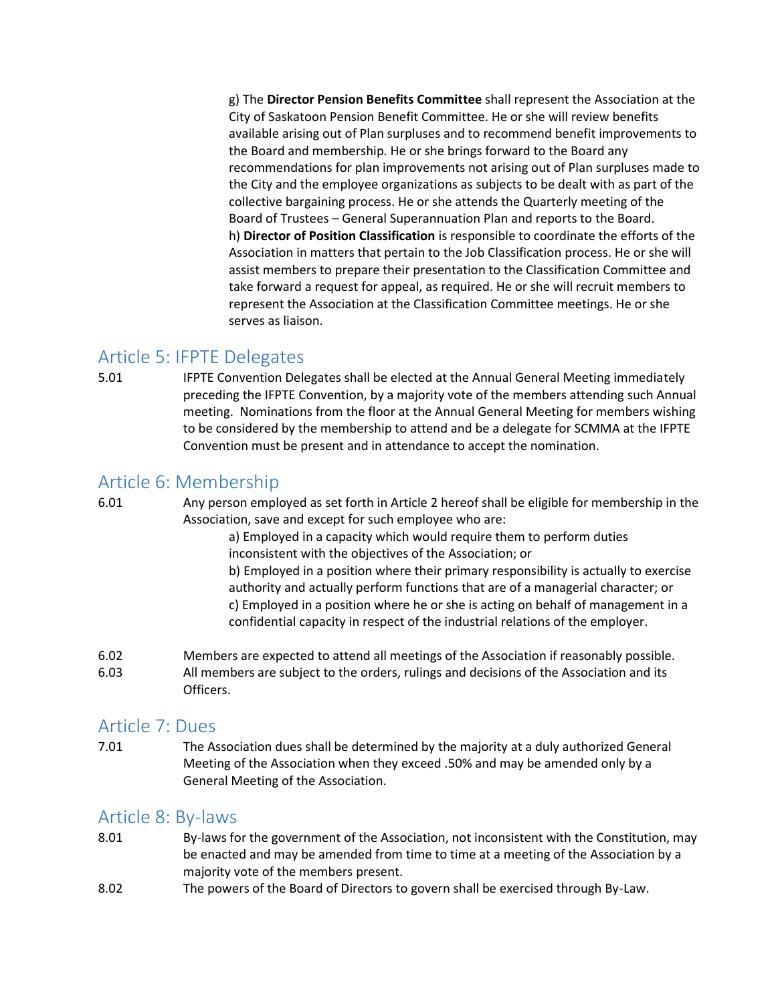g) The Director Pension Benefits Committee shall represent the Association at the City of Saskatoon Pension Benefit Committee. He or she will review benefits available arising out of Plan surpluses and to recommend benefit improvements to the Board and membership. He or she brings forward to the Board any recommendations for plan improvements not arising out of Plan surpluses made to the City and the employee organizations as subjects to be dealt with as part of the collective bargaining process. He or she attends the Quarterly meeting of the Board of Trustees – General Superannuation Plan and reports to the Board. h) Director of Position Classification is responsible to coordinate the efforts of the Association in matters that pertain to the Job Classification process. He or she will assist members to prepare their presentation to the Classification Committee and take forward a request for appeal, as required. He or she will recruit members to represent the Association at the Classification Committee meetings. He or she serves as liaison.

## Article 5: IFPTE Delegates

5.01 IFPTE Convention Delegates shall be elected at the Annual General Meeting immediately preceding the IFPTE Convention, by a majority vote of the members attending such Annual meeting. Nominations from the floor at the Annual General Meeting for members wishing to be considered by the membership to attend and be a delegate for SCMMA at the IFPTE Convention must be present and in attendance to accept the nomination.

# Article 6: Membership

6.01 Any person employed as set forth in Article 2 hereof shall be eligible for membership in the Association, save and except for such employee who are:

> a) Employed in a capacity which would require them to perform duties inconsistent with the objectives of the Association; or

b) Employed in a position where their primary responsibility is actually to exercise authority and actually perform functions that are of a managerial character; or c) Employed in a position where he or she is acting on behalf of management in a confidential capacity in respect of the industrial relations of the employer.

6.02 Members are expected to attend all meetings of the Association if reasonably possible. 6.03 All members are subject to the orders, rulings and decisions of the Association and its Officers.

## Article 7: Dues

7.01 The Association dues shall be determined by the majority at a duly authorized General Meeting of the Association when they exceed .50% and may be amended only by a General Meeting of the Association.

## Article 8: By-laws

- 8.01 By-laws for the government of the Association, not inconsistent with the Constitution, may be enacted and may be amended from time to time at a meeting of the Association by a majority vote of the members present.
- 8.02 The powers of the Board of Directors to govern shall be exercised through By-Law.